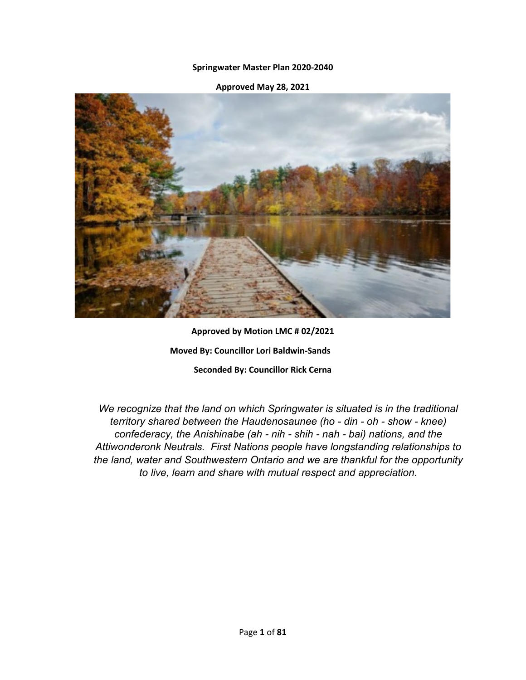## **Springwater Master Plan 2020-2040**

## **Approved May 28, 2021**



**Approved by Motion LMC # 02/2021 Moved By: Councillor Lori Baldwin-Sands Seconded By: Councillor Rick Cerna**

*We recognize that the land on which Springwater is situated is in the traditional territory shared between the Haudenosaunee (ho - din - oh - show - knee) confederacy, the Anishinabe (ah - nih - shih - nah - bai) nations, and the Attiwonderonk Neutrals. First Nations people have longstanding relationships to the land, water and Southwestern Ontario and we are thankful for the opportunity to live, learn and share with mutual respect and appreciation.*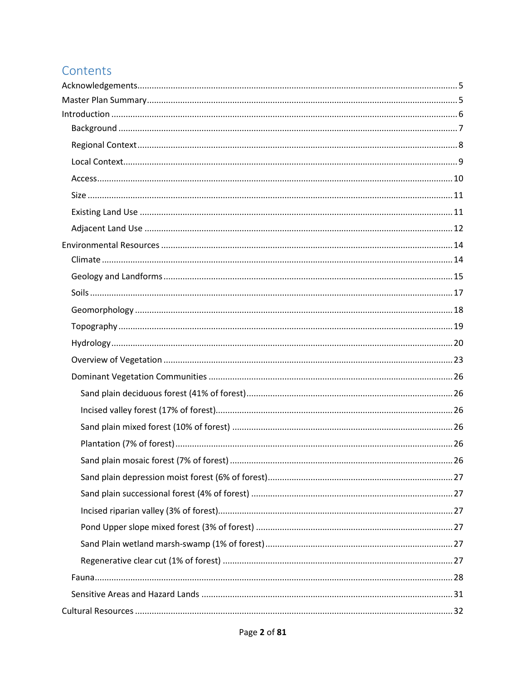## Contents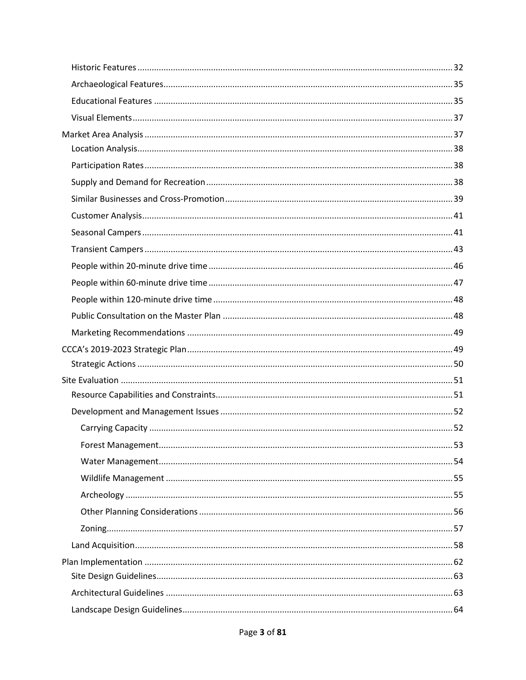| 53 |
|----|
|    |
|    |
|    |
|    |
|    |
|    |
|    |
|    |
|    |